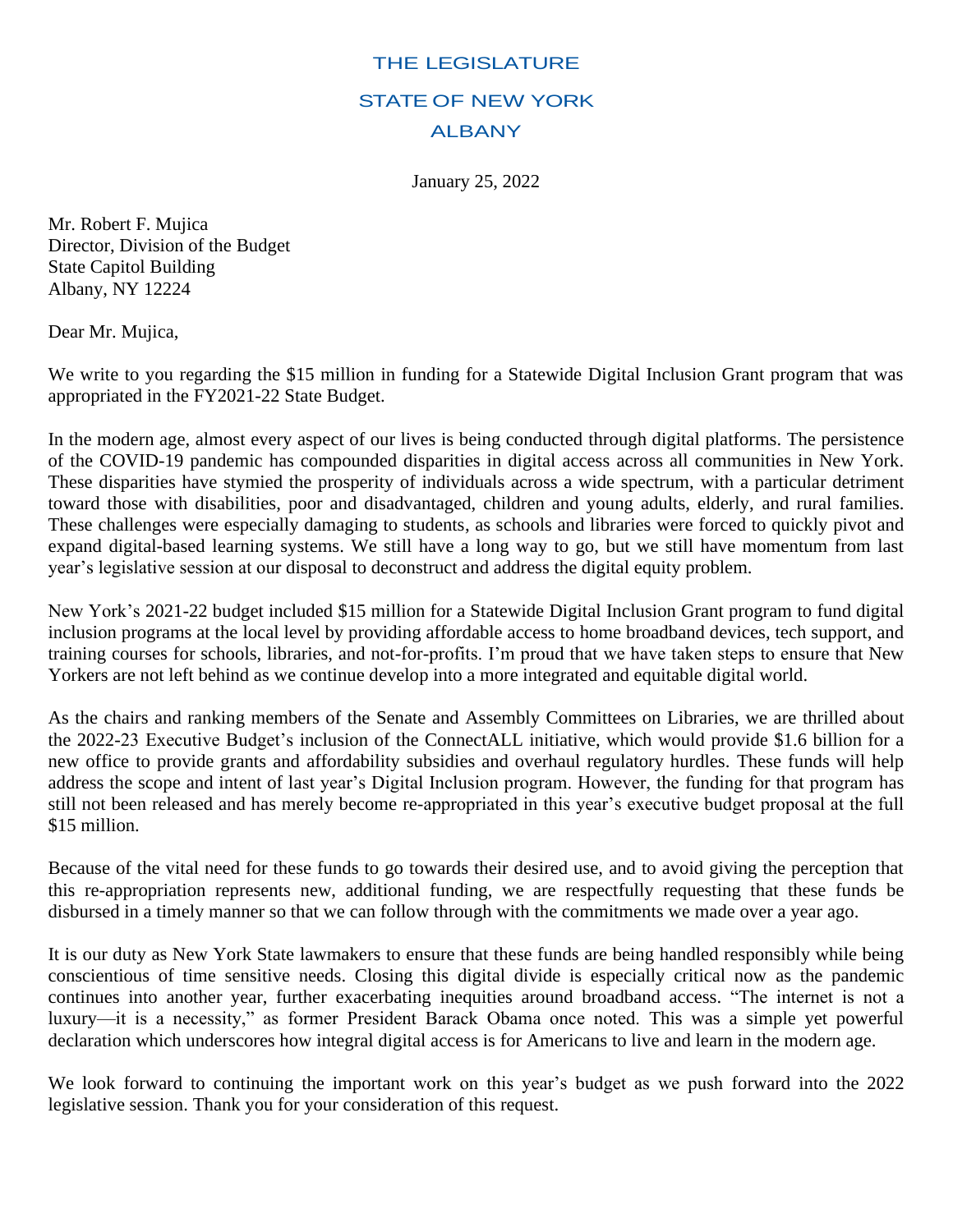## THE LEGISLATURE STATE OF NEW YORK ALBANY

January 25, 2022

Mr. Robert F. Mujica Director, Division of the Budget State Capitol Building Albany, NY 12224

Dear Mr. Mujica,

We write to you regarding the \$15 million in funding for a Statewide Digital Inclusion Grant program that was appropriated in the FY2021-22 State Budget.

In the modern age, almost every aspect of our lives is being conducted through digital platforms. The persistence of the COVID-19 pandemic has compounded disparities in digital access across all communities in New York. These disparities have stymied the prosperity of individuals across a wide spectrum, with a particular detriment toward those with disabilities, poor and disadvantaged, children and young adults, elderly, and rural families. These challenges were especially damaging to students, as schools and libraries were forced to quickly pivot and expand digital-based learning systems. We still have a long way to go, but we still have momentum from last year's legislative session at our disposal to deconstruct and address the digital equity problem.

New York's 2021-22 budget included \$15 million for a Statewide Digital Inclusion Grant program to fund digital inclusion programs at the local level by providing affordable access to home broadband devices, tech support, and training courses for schools, libraries, and not-for-profits. I'm proud that we have taken steps to ensure that New Yorkers are not left behind as we continue develop into a more integrated and equitable digital world.

As the chairs and ranking members of the Senate and Assembly Committees on Libraries, we are thrilled about the 2022-23 Executive Budget's inclusion of the ConnectALL initiative, which would provide \$1.6 billion for a new office to provide grants and affordability subsidies and overhaul regulatory hurdles. These funds will help address the scope and intent of last year's Digital Inclusion program. However, the funding for that program has still not been released and has merely become re-appropriated in this year's executive budget proposal at the full \$15 million.

Because of the vital need for these funds to go towards their desired use, and to avoid giving the perception that this re-appropriation represents new, additional funding, we are respectfully requesting that these funds be disbursed in a timely manner so that we can follow through with the commitments we made over a year ago.

It is our duty as New York State lawmakers to ensure that these funds are being handled responsibly while being conscientious of time sensitive needs. Closing this digital divide is especially critical now as the pandemic continues into another year, further exacerbating inequities around broadband access. "The internet is not a luxury—it is a necessity," as former President Barack Obama once noted. This was a simple yet powerful declaration which underscores how integral digital access is for Americans to live and learn in the modern age.

We look forward to continuing the important work on this year's budget as we push forward into the 2022 legislative session. Thank you for your consideration of this request.